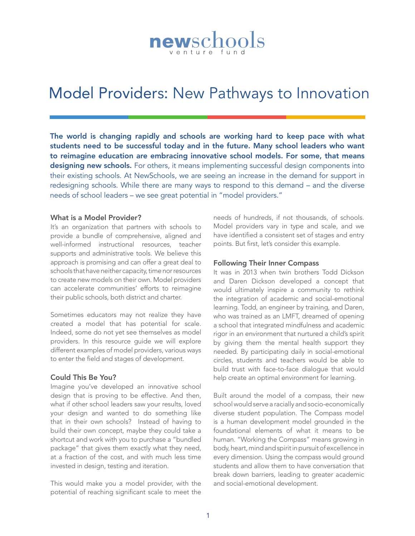# newschools

## Model Providers: New Pathways to Innovation

The world is changing rapidly and schools are working hard to keep pace with what students need to be successful today and in the future. Many school leaders who want to reimagine education are embracing innovative school models. For some, that means designing new schools. For others, it means implementing successful design components into their existing schools. At NewSchools, we are seeing an increase in the demand for support in redesigning schools. While there are many ways to respond to this demand – and the diverse needs of school leaders – we see great potential in "model providers."

#### What is a Model Provider?

It's an organization that partners with schools to provide a bundle of comprehensive, aligned and well-informed instructional resources, teacher supports and administrative tools. We believe this approach is promising and can offer a great deal to schools that have neither capacity, time nor resources to create new models on their own. Model providers can accelerate communities' efforts to reimagine their public schools, both district and charter.

Sometimes educators may not realize they have created a model that has potential for scale. Indeed, some do not yet see themselves as model providers. In this resource guide we will explore different examples of model providers, various ways to enter the field and stages of development.

#### Could This Be You?

Imagine you've developed an innovative school design that is proving to be effective. And then, what if other school leaders saw your results, loved your design and wanted to do something like that in their own schools? Instead of having to build their own concept, maybe they could take a shortcut and work with you to purchase a "bundled package" that gives them exactly what they need, at a fraction of the cost, and with much less time invested in design, testing and iteration.

This would make you a model provider, with the potential of reaching significant scale to meet the

needs of hundreds, if not thousands, of schools. Model providers vary in type and scale, and we have identified a consistent set of stages and entry points. But first, let's consider this example.

#### Following Their Inner Compass

It was in 2013 when twin brothers Todd Dickson and Daren Dickson developed a concept that would ultimately inspire a community to rethink the integration of academic and social-emotional learning. Todd, an engineer by training, and Daren, who was trained as an LMFT, dreamed of opening a school that integrated mindfulness and academic rigor in an environment that nurtured a child's spirit by giving them the mental health support they needed. By participating daily in social-emotional circles, students and teachers would be able to build trust with face-to-face dialogue that would help create an optimal environment for learning.

Built around the model of a compass, their new school would serve a racially and socio-economically diverse student population. The Compass model is a human development model grounded in the foundational elements of what it means to be human. "Working the Compass" means growing in body, heart, mind and spirit in pursuit of excellence in every dimension. Using the compass would ground students and allow them to have conversation that break down barriers, leading to greater academic and social-emotional development.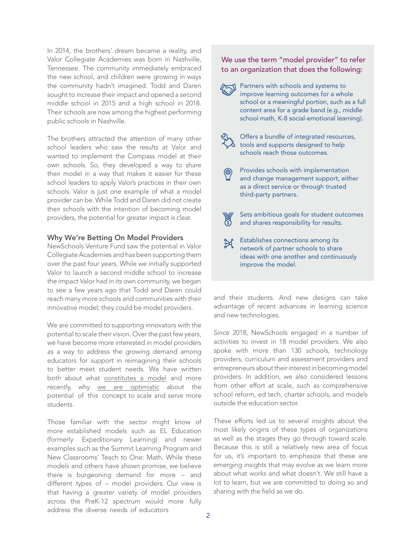In 2014, the brothers' dream became a reality, and Valor Collegiate Academies was born in Nashville, Tennessee. The community immediately embraced the new school, and children were growing in ways the community hadn't imagined. Todd and Daren sought to increase their impact and opened a second middle school in 2015 and a high school in 2018. Their schools are now among the highest performing public schools in Nashville.

The brothers attracted the attention of many other school leaders who saw the results at Valor and wanted to implement the Compass model at their own schools. So, they developed a way to share their model in a way that makes it easier for these school leaders to apply Valor's practices in their own schools. Valor is just one example of what a model provider can be. While Todd and Daren did not create their schools with the intention of becoming model providers, the potential for greater impact is clear.

#### Why We're Betting On Model Providers

NewSchools Venture Fund saw the potential in Valor Collegiate Academies and has been supporting them over the past four years. While we initially supported Valor to launch a second middle school to increase the impact Valor had in its own community, we began to see a few years ago that Todd and Daren could reach many more schools and communities with their innovative model; they could be model providers.

We are committed to supporting innovators with the potential to scale their vision. Over the past few years, we have become more interested in model providers as a way to address the growing demand among educators for support in reimagining their schools to better meet student needs. We have written both about what [constitutes](https://www.newschools.org/wp-content/uploads/2018/04/NSVF_041918_SMC_Models_Doc_v2_002.pdf) a model and more recently, why we are [optimistic](https://www.newschools.org/wp-content/uploads/2018/09/DY02-report-v4-1.pdf) about the potential of this concept to scale and serve more students.

Those familiar with the sector might know of more established models such as EL Education (formerly Expeditionary Learning) and newer examples such as the Summit Learning Program and New Classrooms' Teach to One: Math. While these models and others have shown promise, we believe there is burgeoning demand for more – and different types of – model providers. Our view is that having a greater variety of model providers across the PreK-12 spectrum would more fully address the diverse needs of educators

#### We use the term "model provider" to refer to an organization that does the following:

Partners with schools and systems to improve learning outcomes for a whole school or a meaningful portion, such as a full content area for a grade band (e.g., middle school math, K-8 social-emotional learning).



Offers a bundle of integrated resources,  $\delta$  tools and supports designed to help schools reach those outcomes.

- Provides schools with implementation and change management support, either as a direct service or through trusted third-party partners.
- $\mathbb{X}$ Sets ambitious goals for student outcomes and shares responsibility for results.
- Establishes connections among its ≵ network of partner schools to share ideas with one another and continuously improve the model.

and their students. And new designs can take advantage of recent advances in learning science and new technologies.

Since 2018, NewSchools engaged in a number of activities to invest in 18 model providers. We also spoke with more than 130 schools, technology providers, curriculum and assessment providers and entrepreneurs about their interest in becoming model providers. In addition, we also considered lessons from other effort at scale, such as comprehensive school reform, ed tech, charter schools, and models outside the education sector.

These efforts led us to several insights about the most likely origins of these types of organizations as well as the stages they go through toward scale. Because this is still a relatively new area of focus for us, it's important to emphasize that these are emerging insights that may evolve as we learn more about what works and what doesn't. We still have a lot to learn, but we are committed to doing so and sharing with the field as we do.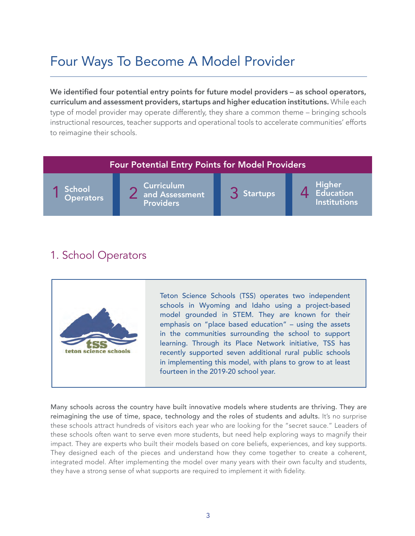## Four Ways To Become A Model Provider

We identified four potential entry points for future model providers - as school operators, curriculum and assessment providers, startups and higher education institutions. While each type of model provider may operate differently, they share a common theme – bringing schools instructional resources, teacher supports and operational tools to accelerate communities' efforts to reimagine their schools.

#### Four Potential Entry Points for Model Providers

**School Operators** 

Curriculum 1 School 2 2 and Assessment 3 Startups 4 Providers

**Startups** 

Higher Education Institutions

## 1. School Operators

teton science schools

Teton Science Schools (TSS) operates two independent schools in Wyoming and Idaho using a project-based model grounded in STEM. They are known for their emphasis on "place based education" – using the assets in the communities surrounding the school to support learning. Through its Place Network initiative, TSS has recently supported seven additional rural public schools in implementing this model, with plans to grow to at least fourteen in the 2019-20 school year.

Many schools across the country have built innovative models where students are thriving. They are reimagining the use of time, space, technology and the roles of students and adults. It's no surprise these schools attract hundreds of visitors each year who are looking for the "secret sauce." Leaders of these schools often want to serve even more students, but need help exploring ways to magnify their impact. They are experts who built their models based on core beliefs, experiences, and key supports. They designed each of the pieces and understand how they come together to create a coherent, integrated model. After implementing the model over many years with their own faculty and students, they have a strong sense of what supports are required to implement it with fidelity.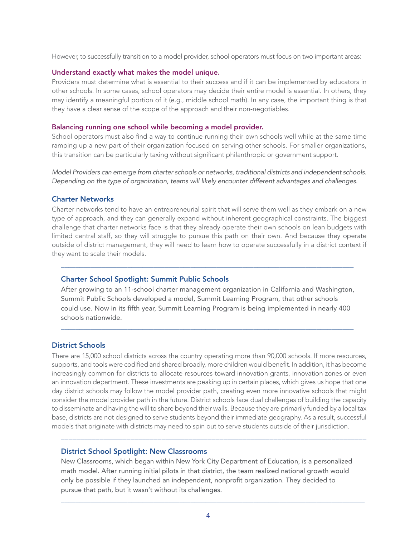However, to successfully transition to a model provider, school operators must focus on two important areas:

#### Understand exactly what makes the model unique.

Providers must determine what is essential to their success and if it can be implemented by educators in other schools. In some cases, school operators may decide their entire model is essential. In others, they may identify a meaningful portion of it (e.g., middle school math). In any case, the important thing is that they have a clear sense of the scope of the approach and their non-negotiables.

#### Balancing running one school while becoming a model provider.

School operators must also find a way to continue running their own schools well while at the same time ramping up a new part of their organization focused on serving other schools. For smaller organizations, this transition can be particularly taxing without significant philanthropic or government support.

*Model Providers can emerge from charter schools or networks, traditional districts and independent schools. Depending on the type of organization, teams will likely encounter different advantages and challenges.*

#### Charter Networks

Charter networks tend to have an entrepreneurial spirit that will serve them well as they embark on a new type of approach, and they can generally expand without inherent geographical constraints. The biggest challenge that charter networks face is that they already operate their own schools on lean budgets with limited central staff, so they will struggle to pursue this path on their own. And because they operate outside of district management, they will need to learn how to operate successfully in a district context if they want to scale their models.

#### Charter School Spotlight: Summit Public Schools

After growing to an 11-school charter management organization in California and Washington, Summit Public Schools developed a model, Summit Learning Program, that other schools could use. Now in its fifth year, Summit Learning Program is being implemented in nearly 400 schools nationwide.

\_\_\_\_\_\_\_\_\_\_\_\_\_\_\_\_\_\_\_\_\_\_\_\_\_\_\_\_\_\_\_\_\_\_\_\_\_\_\_\_\_\_\_\_\_\_\_\_\_\_\_\_\_\_\_\_\_\_\_\_\_\_\_\_\_\_\_\_\_\_\_\_\_\_\_\_\_\_\_

\_\_\_\_\_\_\_\_\_\_\_\_\_\_\_\_\_\_\_\_\_\_\_\_\_\_\_\_\_\_\_\_\_\_\_\_\_\_\_\_\_\_\_\_\_\_\_\_\_\_\_\_\_\_\_\_\_\_\_\_\_\_\_\_\_\_\_\_\_\_\_\_\_\_\_\_\_\_\_

#### District Schools

There are 15,000 school districts across the country operating more than 90,000 schools. If more resources, supports, and tools were codified and shared broadly, more children would benefit. In addition, it has become increasingly common for districts to allocate resources toward innovation grants, innovation zones or even an innovation department. These investments are peaking up in certain places, which gives us hope that one day district schools may follow the model provider path, creating even more innovative schools that might consider the model provider path in the future. District schools face dual challenges of building the capacity to disseminate and having the will to share beyond their walls. Because they are primarily funded by a local tax base, districts are not designed to serve students beyond their immediate geography. As a result, successful models that originate with districts may need to spin out to serve students outside of their jurisdiction.

\_\_\_\_\_\_\_\_\_\_\_\_\_\_\_\_\_\_\_\_\_\_\_\_\_\_\_\_\_\_\_\_\_\_\_\_\_\_\_\_\_\_\_\_\_\_\_\_\_\_\_\_\_\_\_\_\_\_\_\_\_\_\_\_\_\_\_\_\_\_\_\_\_\_\_\_\_\_\_

#### District School Spotlight: New Classrooms

New Classrooms, which began within New York City Department of Education, is a personalized math model. After running initial pilots in that district, the team realized national growth would only be possible if they launched an independent, nonprofit organization. They decided to pursue that path, but it wasn't without its challenges.

\_\_\_\_\_\_\_\_\_\_\_\_\_\_\_\_\_\_\_\_\_\_\_\_\_\_\_\_\_\_\_\_\_\_\_\_\_\_\_\_\_\_\_\_\_\_\_\_\_\_\_\_\_\_\_\_\_\_\_\_\_\_\_\_\_\_\_\_\_\_\_\_\_\_\_\_\_\_\_\_\_\_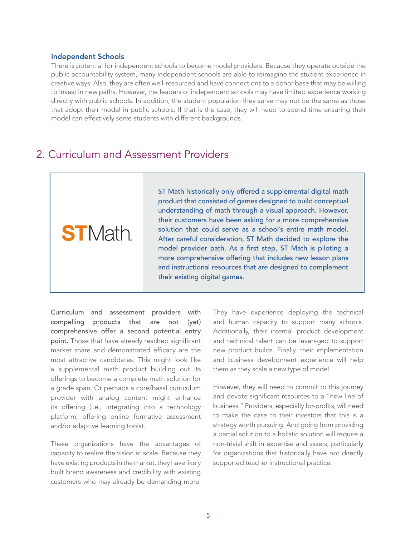#### Independent Schools

There is potential for independent schools to become model providers. Because they operate outside the public accountability system, many independent schools are able to reimagine the student experience in creative ways. Also, they are often well-resourced and have connections to a donor base that may be willing to invest in new paths. However, the leaders of independent schools may have limited experience working directly with public schools. In addition, the student population they serve may not be the same as those that adopt their model in public schools. If that is the case, they will need to spend time ensuring their model can effectively serve students with different backgrounds.

## 2. Curriculum and Assessment Providers

**ST**Math

ST Math historically only offered a supplemental digital math product that consisted of games designed to build conceptual understanding of math through a visual approach. However, their customers have been asking for a more comprehensive solution that could serve as a school's entire math model. After careful consideration, ST Math decided to explore the model provider path. As a first step, ST Math is piloting a more comprehensive offering that includes new lesson plans and instructional resources that are designed to complement their existing digital games.

Curriculum and assessment providers with compelling products that are not (yet) comprehensive offer a second potential entry point. Those that have already reached significant market share and demonstrated efficacy are the most attractive candidates. This might look like a supplemental math product building out its offerings to become a complete math solution for a grade span. Or perhaps a core/basal curriculum provider with analog content might enhance its offering (i.e., integrating into a technology platform, offering online formative assessment and/or adaptive learning tools).

These organizations have the advantages of capacity to realize the vision at scale. Because they have existing products in the market, they have likely built brand awareness and credibility with existing customers who may already be demanding more.

They have experience deploying the technical and human capacity to support many schools. Additionally, their internal product development and technical talent can be leveraged to support new product builds. Finally, their implementation and business development experience will help them as they scale a new type of model.

However, they will need to commit to this journey and devote significant resources to a "new line of business." Providers, especially for-profits, will need to make the case to their investors that this is a strategy worth pursuing. And going from providing a partial solution to a holistic solution will require a non-trivial shift in expertise and assets, particularly for organizations that historically have not directly supported teacher instructional practice.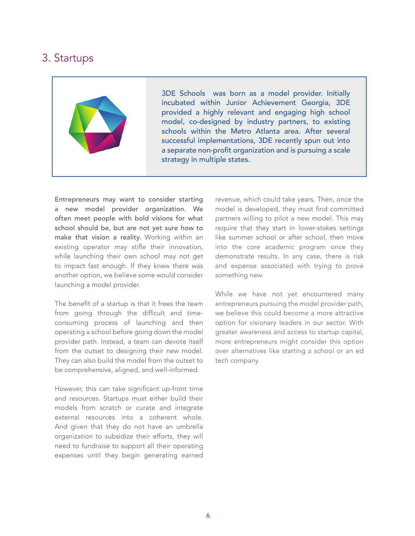## 3. Startups



3DE Schools was born as a model provider. Initially incubated within Junior Achievement Georgia, 3DE provided a highly relevant and engaging high school model, co-designed by industry partners, to existing schools within the Metro Atlanta area. After several successful implementations, 3DE recently spun out into a separate non-profit organization and is pursuing a scale strategy in multiple states.

Entrepreneurs may want to consider starting a new model provider organization. We often meet people with bold visions for what school should be, but are not yet sure how to make that vision a reality. Working within an existing operator may stifle their innovation, while launching their own school may not get to impact fast enough. If they knew there was another option, we believe some would consider launching a model provider.

The benefit of a startup is that it frees the team from going through the difficult and timeconsuming process of launching and then operating a school before going down the model provider path. Instead, a team can devote itself from the outset to designing their new model. They can also build the model from the outset to be comprehensive, aligned, and well-informed.

However, this can take significant up-front time and resources. Startups must either build their models from scratch or curate and integrate external resources into a coherent whole. And given that they do not have an umbrella organization to subsidize their efforts, they will need to fundraise to support all their operating expenses until they begin generating earned revenue, which could take years. Then, once the model is developed, they must find committed partners willing to pilot a new model. This may require that they start in lower-stakes settings like summer school or after school, then move into the core academic program once they demonstrate results. In any case, there is risk and expense associated with trying to prove something new.

While we have not yet encountered many entrepreneurs pursuing the model provider path, we believe this could become a more attractive option for visionary leaders in our sector. With greater awareness and access to startup capital, more entrepreneurs might consider this option over alternatives like starting a school or an ed tech company.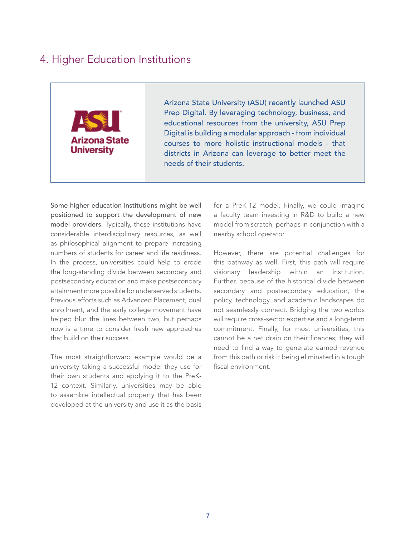## 4. Higher Education Institutions



Arizona State University (ASU) recently launched ASU Prep Digital. By leveraging technology, business, and educational resources from the university, ASU Prep Digital is building a modular approach - from individual courses to more holistic instructional models - that districts in Arizona can leverage to better meet the needs of their students.

Some higher education institutions might be well positioned to support the development of new model providers. Typically, these institutions have considerable interdisciplinary resources, as well as philosophical alignment to prepare increasing numbers of students for career and life readiness. In the process, universities could help to erode the long-standing divide between secondary and postsecondary education and make postsecondary attainment more possible for underserved students. Previous efforts such as Advanced Placement, dual enrollment, and the early college movement have helped blur the lines between two, but perhaps now is a time to consider fresh new approaches that build on their success.

The most straightforward example would be a university taking a successful model they use for their own students and applying it to the PreK-12 context. Similarly, universities may be able to assemble intellectual property that has been developed at the university and use it as the basis

for a PreK-12 model. Finally, we could imagine a faculty team investing in R&D to build a new model from scratch, perhaps in conjunction with a nearby school operator.

However, there are potential challenges for this pathway as well. First, this path will require visionary leadership within an institution. Further, because of the historical divide between secondary and postsecondary education, the policy, technology, and academic landscapes do not seamlessly connect. Bridging the two worlds will require cross-sector expertise and a long-term commitment. Finally, for most universities, this cannot be a net drain on their finances; they will need to find a way to generate earned revenue from this path or risk it being eliminated in a tough fiscal environment.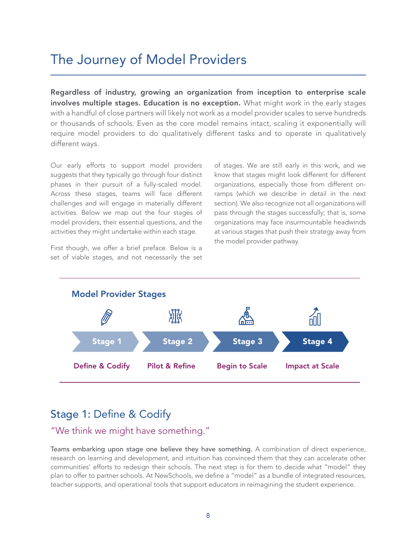## The Journey of Model Providers

Regardless of industry, growing an organization from inception to enterprise scale involves multiple stages. Education is no exception. What might work in the early stages with a handful of close partners will likely not work as a model provider scales to serve hundreds or thousands of schools. Even as the core model remains intact, scaling it exponentially will require model providers to do qualitatively different tasks and to operate in qualitatively different ways.

Our early efforts to support model providers suggests that they typically go through four distinct phases in their pursuit of a fully-scaled model. Across these stages, teams will face different challenges and will engage in materially different activities. Below we map out the four stages of model providers, their essential questions, and the activities they might undertake within each stage.

First though, we offer a brief preface. Below is a set of viable stages, and not necessarily the set of stages. We are still early in this work, and we know that stages might look different for different organizations, especially those from different onramps (which we describe in detail in the next section). We also recognize not all organizations will pass through the stages successfully; that is, some organizations may face insurmountable headwinds at various stages that push their strategy away from the model provider pathway.



## Stage 1: Define & Codify

### "We think we might have something."

Teams embarking upon stage one believe they have something. A combination of direct experience, research on learning and development, and intuition has convinced them that they can accelerate other communities' efforts to redesign their schools. The next step is for them to decide what "model" they plan to offer to partner schools. At NewSchools, we define a "model" as a bundle of integrated resources, teacher supports, and operational tools that support educators in reimagining the student experience.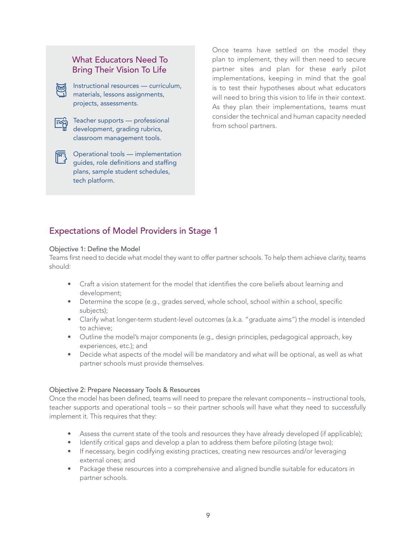### What Educators Need To Bring Their Vision To Life



Instructional resources — curriculum, materials, lessons assignments, projects, assessments.

Teacher supports — professional development, grading rubrics, classroom management tools.

 $\sqrt{\overline{M_1}}$  Operational tools — implementation guides, role definitions and staffing plans, sample student schedules, tech platform.

Once teams have settled on the model they plan to implement, they will then need to secure partner sites and plan for these early pilot implementations, keeping in mind that the goal is to test their hypotheses about what educators will need to bring this vision to life in their context. As they plan their implementations, teams must consider the technical and human capacity needed from school partners.

## Expectations of Model Providers in Stage 1

#### Objective 1: Define the Model

Teams first need to decide what model they want to offer partner schools. To help them achieve clarity, teams should:

- Craft a vision statement for the model that identifies the core beliefs about learning and development;
- Determine the scope (e.g., grades served, whole school, school within a school, specific subjects);
- Clarify what longer-term student-level outcomes (a.k.a. "graduate aims") the model is intended to achieve;
- Outline the model's major components (e.g., design principles, pedagogical approach, key experiences, etc.); and
- Decide what aspects of the model will be mandatory and what will be optional, as well as what partner schools must provide themselves.

#### Objective 2: Prepare Necessary Tools & Resources

Once the model has been defined, teams will need to prepare the relevant components – instructional tools, teacher supports and operational tools – so their partner schools will have what they need to successfully implement it. This requires that they:

- Assess the current state of the tools and resources they have already developed (if applicable);
- Identify critical gaps and develop a plan to address them before piloting (stage two);
- If necessary, begin codifying existing practices, creating new resources and/or leveraging external ones; and
- Package these resources into a comprehensive and aligned bundle suitable for educators in partner schools.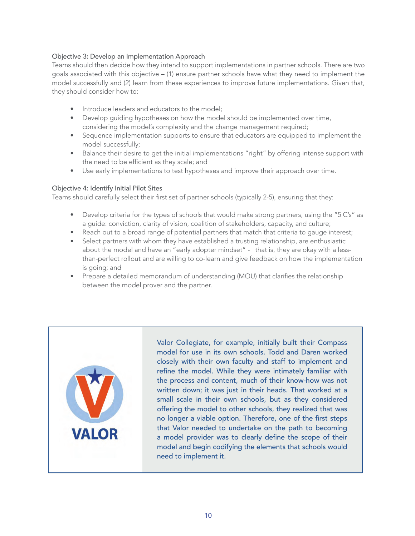#### Objective 3: Develop an Implementation Approach

Teams should then decide how they intend to support implementations in partner schools. There are two goals associated with this objective – (1) ensure partner schools have what they need to implement the model successfully and (2) learn from these experiences to improve future implementations. Given that, they should consider how to:

- Introduce leaders and educators to the model;
- Develop guiding hypotheses on how the model should be implemented over time, considering the model's complexity and the change management required;
- Sequence implementation supports to ensure that educators are equipped to implement the model successfully;
- Balance their desire to get the initial implementations "right" by offering intense support with the need to be efficient as they scale; and
- Use early implementations to test hypotheses and improve their approach over time.

#### Objective 4: Identify Initial Pilot Sites

Teams should carefully select their first set of partner schools (typically 2-5), ensuring that they:

- Develop criteria for the types of schools that would make strong partners, using the "5 C's" as a guide: conviction, clarity of vision, coalition of stakeholders, capacity, and culture;
- Reach out to a broad range of potential partners that match that criteria to gauge interest;
- Select partners with whom they have established a trusting relationship, are enthusiastic about the model and have an "early adopter mindset" - that is, they are okay with a lessthan-perfect rollout and are willing to co-learn and give feedback on how the implementation is going; and
- Prepare a detailed memorandum of understanding (MOU) that clarifies the relationship between the model prover and the partner.



Valor Collegiate, for example, initially built their Compass model for use in its own schools. Todd and Daren worked closely with their own faculty and staff to implement and refine the model. While they were intimately familiar with the process and content, much of their know-how was not written down; it was just in their heads. That worked at a small scale in their own schools, but as they considered offering the model to other schools, they realized that was no longer a viable option. Therefore, one of the first steps that Valor needed to undertake on the path to becoming a model provider was to clearly define the scope of their model and begin codifying the elements that schools would need to implement it.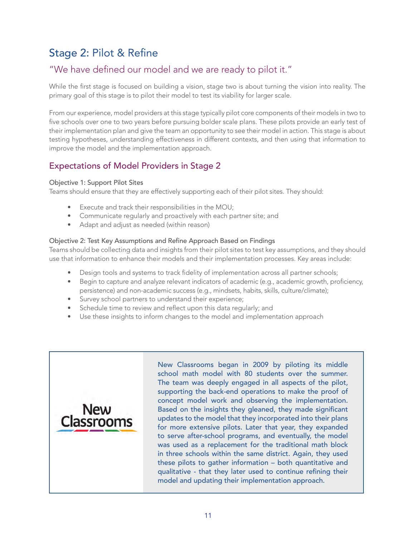## Stage 2: Pilot & Refine

## "We have defined our model and we are ready to pilot it."

While the first stage is focused on building a vision, stage two is about turning the vision into reality. The primary goal of this stage is to pilot their model to test its viability for larger scale.

From our experience, model providers at this stage typically pilot core components of their models in two to five schools over one to two years before pursuing bolder scale plans. These pilots provide an early test of their implementation plan and give the team an opportunity to see their model in action. This stage is about testing hypotheses, understanding effectiveness in different contexts, and then using that information to improve the model and the implementation approach.

### Expectations of Model Providers in Stage 2

#### Objective 1: Support Pilot Sites

Teams should ensure that they are effectively supporting each of their pilot sites. They should:

- Execute and track their responsibilities in the MOU;
- Communicate regularly and proactively with each partner site; and
- Adapt and adjust as needed (within reason)

#### Objective 2: Test Key Assumptions and Refine Approach Based on Findings

Teams should be collecting data and insights from their pilot sites to test key assumptions, and they should use that information to enhance their models and their implementation processes. Key areas include:

- Design tools and systems to track fidelity of implementation across all partner schools;
- Begin to capture and analyze relevant indicators of academic (e.g., academic growth, proficiency, persistence) and non-academic success (e.g., mindsets, habits, skills, culture/climate);
- Survey school partners to understand their experience;
- Schedule time to review and reflect upon this data regularly; and
- Use these insights to inform changes to the model and implementation approach



New Classrooms began in 2009 by piloting its middle school math model with 80 students over the summer. The team was deeply engaged in all aspects of the pilot, supporting the back-end operations to make the proof of concept model work and observing the implementation. Based on the insights they gleaned, they made significant updates to the model that they incorporated into their plans for more extensive pilots. Later that year, they expanded to serve after-school programs, and eventually, the model was used as a replacement for the traditional math block in three schools within the same district. Again, they used these pilots to gather information – both quantitative and qualitative - that they later used to continue refining their model and updating their implementation approach.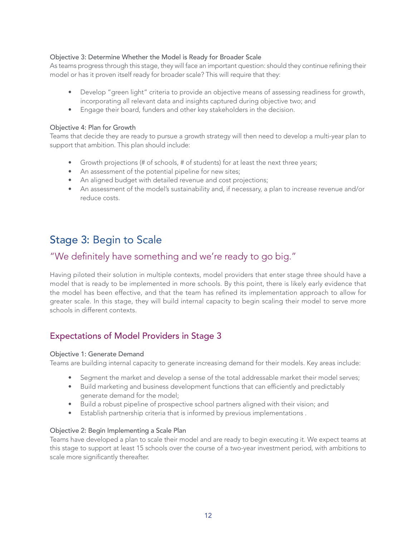#### Objective 3: Determine Whether the Model is Ready for Broader Scale

As teams progress through this stage, they will face an important question: should they continue refining their model or has it proven itself ready for broader scale? This will require that they:

- Develop "green light" criteria to provide an objective means of assessing readiness for growth, incorporating all relevant data and insights captured during objective two; and
- Engage their board, funders and other key stakeholders in the decision.

#### Objective 4: Plan for Growth

Teams that decide they are ready to pursue a growth strategy will then need to develop a multi-year plan to support that ambition. This plan should include:

- Growth projections (# of schools, # of students) for at least the next three years;
- An assessment of the potential pipeline for new sites;
- An aligned budget with detailed revenue and cost projections;
- An assessment of the model's sustainability and, if necessary, a plan to increase revenue and/or reduce costs.

## Stage 3: Begin to Scale

#### "We definitely have something and we're ready to go big."

Having piloted their solution in multiple contexts, model providers that enter stage three should have a model that is ready to be implemented in more schools. By this point, there is likely early evidence that the model has been effective, and that the team has refined its implementation approach to allow for greater scale. In this stage, they will build internal capacity to begin scaling their model to serve more schools in different contexts.

#### Expectations of Model Providers in Stage 3

#### Objective 1: Generate Demand

Teams are building internal capacity to generate increasing demand for their models. Key areas include:

- Segment the market and develop a sense of the total addressable market their model serves;
- Build marketing and business development functions that can efficiently and predictably generate demand for the model;
- Build a robust pipeline of prospective school partners aligned with their vision; and
- Establish partnership criteria that is informed by previous implementations .

#### Objective 2: Begin Implementing a Scale Plan

Teams have developed a plan to scale their model and are ready to begin executing it. We expect teams at this stage to support at least 15 schools over the course of a two-year investment period, with ambitions to scale more significantly thereafter.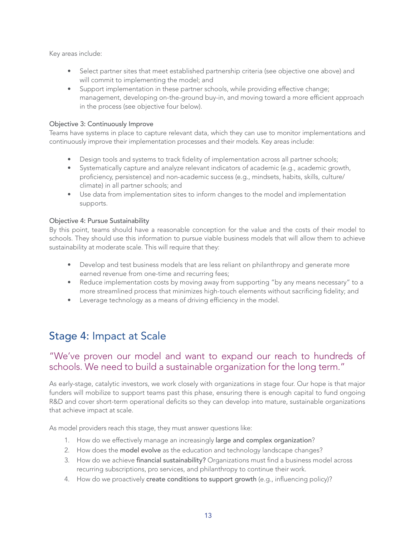Key areas include:

- Select partner sites that meet established partnership criteria (see objective one above) and will commit to implementing the model; and
- Support implementation in these partner schools, while providing effective change; management, developing on-the-ground buy-in, and moving toward a more efficient approach in the process (see objective four below).

#### Objective 3: Continuously Improve

Teams have systems in place to capture relevant data, which they can use to monitor implementations and continuously improve their implementation processes and their models. Key areas include:

- Design tools and systems to track fidelity of implementation across all partner schools;
- Systematically capture and analyze relevant indicators of academic (e.g., academic growth, proficiency, persistence) and non-academic success (e.g., mindsets, habits, skills, culture/ climate) in all partner schools; and
- Use data from implementation sites to inform changes to the model and implementation supports.

#### Objective 4: Pursue Sustainability

By this point, teams should have a reasonable conception for the value and the costs of their model to schools. They should use this information to pursue viable business models that will allow them to achieve sustainability at moderate scale. This will require that they:

- Develop and test business models that are less reliant on philanthropy and generate more earned revenue from one-time and recurring fees;
- Reduce implementation costs by moving away from supporting "by any means necessary" to a more streamlined process that minimizes high-touch elements without sacrificing fidelity; and
- Leverage technology as a means of driving efficiency in the model.

## Stage 4: Impact at Scale

### "We've proven our model and want to expand our reach to hundreds of schools. We need to build a sustainable organization for the long term."

As early-stage, catalytic investors, we work closely with organizations in stage four. Our hope is that major funders will mobilize to support teams past this phase, ensuring there is enough capital to fund ongoing R&D and cover short-term operational deficits so they can develop into mature, sustainable organizations that achieve impact at scale.

As model providers reach this stage, they must answer questions like:

- 1. How do we effectively manage an increasingly large and complex organization?
- 2. How does the model evolve as the education and technology landscape changes?
- 3. How do we achieve financial sustainability? Organizations must find a business model across recurring subscriptions, pro services, and philanthropy to continue their work.
- 4. How do we proactively create conditions to support growth (e.g., influencing policy)?